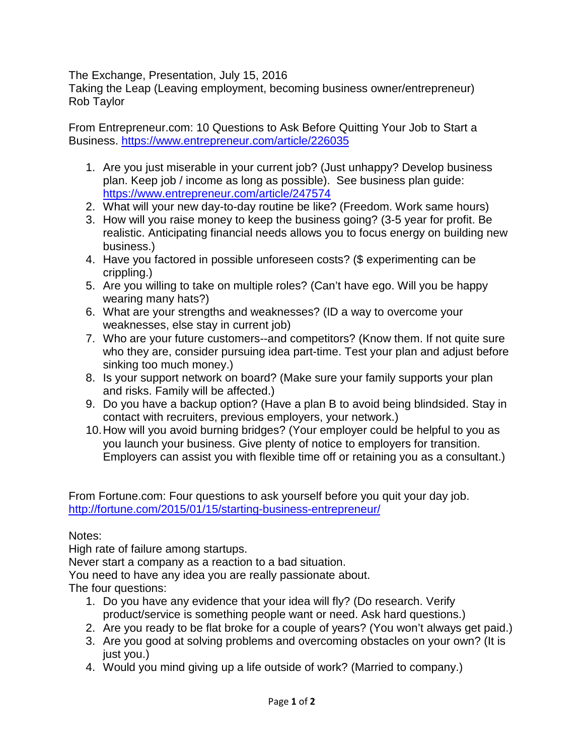The Exchange, Presentation, July 15, 2016

Taking the Leap (Leaving employment, becoming business owner/entrepreneur) Rob Taylor

From Entrepreneur.com: 10 Questions to Ask Before Quitting Your Job to Start a Business.<https://www.entrepreneur.com/article/226035>

- 1. Are you just miserable in your current job? (Just unhappy? Develop business plan. Keep job / income as long as possible). See business plan guide: <https://www.entrepreneur.com/article/247574>
- 2. What will your new day-to-day routine be like? (Freedom. Work same hours)
- 3. How will you raise money to keep the business going? (3-5 year for profit. Be realistic. Anticipating financial needs allows you to focus energy on building new business.)
- 4. Have you factored in possible unforeseen costs? (\$ experimenting can be crippling.)
- 5. Are you willing to take on multiple roles? (Can't have ego. Will you be happy wearing many hats?)
- 6. What are your strengths and weaknesses? (ID a way to overcome your weaknesses, else stay in current job)
- 7. Who are your future customers--and competitors? (Know them. If not quite sure who they are, consider pursuing idea part-time. Test your plan and adjust before sinking too much money.)
- 8. Is your support network on board? (Make sure your family supports your plan and risks. Family will be affected.)
- 9. Do you have a backup option? (Have a plan B to avoid being blindsided. Stay in contact with recruiters, previous employers, your network.)
- 10.How will you avoid burning bridges? (Your employer could be helpful to you as you launch your business. Give plenty of notice to employers for transition. Employers can assist you with flexible time off or retaining you as a consultant.)

From Fortune.com: Four questions to ask yourself before you quit your day job. <http://fortune.com/2015/01/15/starting-business-entrepreneur/>

Notes:

High rate of failure among startups.

Never start a company as a reaction to a bad situation.

You need to have any idea you are really passionate about.

The four questions:

- 1. Do you have any evidence that your idea will fly? (Do research. Verify product/service is something people want or need. Ask hard questions.)
- 2. Are you ready to be flat broke for a couple of years? (You won't always get paid.)
- 3. Are you good at solving problems and overcoming obstacles on your own? (It is just you.)
- 4. Would you mind giving up a life outside of work? (Married to company.)